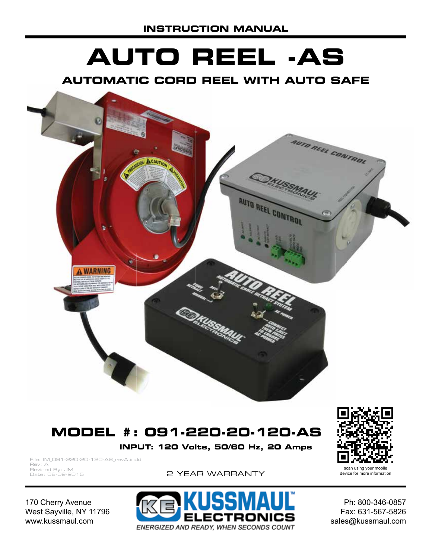# **AUTO REEL -AS**

#### **AUTOMATIC CORD REEL WITH AUTO SAFE**



# **MODEL #: 091-220-20-120-AS**

**INPUT: 120 Volts, 50/60 Hz, 20 Amps**

File: IM\_091-220-20-120-AS\_revA.indd Rev: A Revised By: JM Date: 06-09-2015

2 YEAR WARRANTY

170 Cherry Avenue West Sayville, NY 11796 www.kussmaul.com

ECTRONICS ENERGIZED AND READY, WHEN SECONDS COUNT

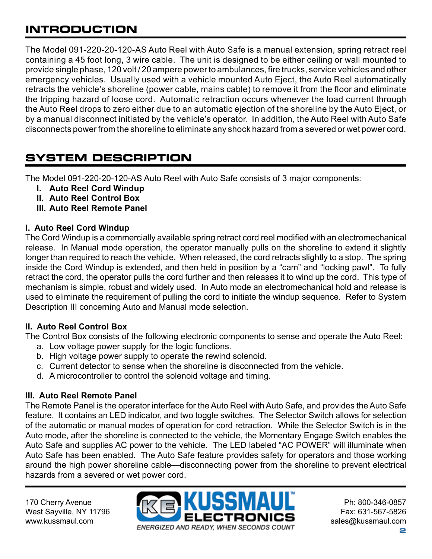# **INTRODUCTION**

The Model 091-220-20-120-AS Auto Reel with Auto Safe is a manual extension, spring retract reel containing a 45 foot long, 3 wire cable. The unit is designed to be either ceiling or wall mounted to provide single phase, 120 volt / 20 ampere power to ambulances, fire trucks, service vehicles and other emergency vehicles. Usually used with a vehicle mounted Auto Eject, the Auto Reel automatically retracts the vehicle's shoreline (power cable, mains cable) to remove it from the floor and eliminate the tripping hazard of loose cord. Automatic retraction occurs whenever the load current through the Auto Reel drops to zero either due to an automatic ejection of the shoreline by the Auto Eject, or by a manual disconnect initiated by the vehicle's operator. In addition, the Auto Reel with Auto Safe disconnects power from the shoreline to eliminate any shock hazard from a severed or wet power cord.

# **SYSTEM DESCRIPTION**

The Model 091-220-20-120-AS Auto Reel with Auto Safe consists of 3 major components:

- **I. Auto Reel Cord Windup**
- **II. Auto Reel Control Box**
- **III. Auto Reel Remote Panel**

#### **I. Auto Reel Cord Windup**

The Cord Windup is a commercially available spring retract cord reel modified with an electromechanical release. In Manual mode operation, the operator manually pulls on the shoreline to extend it slightly longer than required to reach the vehicle. When released, the cord retracts slightly to a stop. The spring inside the Cord Windup is extended, and then held in position by a "cam" and "locking pawl". To fully retract the cord, the operator pulls the cord further and then releases it to wind up the cord. This type of mechanism is simple, robust and widely used. In Auto mode an electromechanical hold and release is used to eliminate the requirement of pulling the cord to initiate the windup sequence. Refer to System Description III concerning Auto and Manual mode selection.

#### **II. Auto Reel Control Box**

The Control Box consists of the following electronic components to sense and operate the Auto Reel:

- a. Low voltage power supply for the logic functions.
- b. High voltage power supply to operate the rewind solenoid.
- c. Current detector to sense when the shoreline is disconnected from the vehicle.
- d. A microcontroller to control the solenoid voltage and timing.

#### **III. Auto Reel Remote Panel**

The Remote Panel is the operator interface for the Auto Reel with Auto Safe, and provides the Auto Safe feature. It contains an LED indicator, and two toggle switches. The Selector Switch allows for selection of the automatic or manual modes of operation for cord retraction. While the Selector Switch is in the Auto mode, after the shoreline is connected to the vehicle, the Momentary Engage Switch enables the Auto Safe and supplies AC power to the vehicle. The LED labeled "AC POWER" will illuminate when Auto Safe has been enabled. The Auto Safe feature provides safety for operators and those working around the high power shoreline cable—disconnecting power from the shoreline to prevent electrical hazards from a severed or wet power cord.

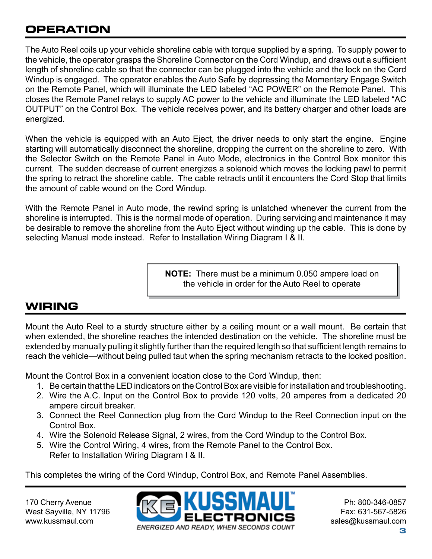# **OPERATION**

The Auto Reel coils up your vehicle shoreline cable with torque supplied by a spring. To supply power to the vehicle, the operator grasps the Shoreline Connector on the Cord Windup, and draws out a sufficient length of shoreline cable so that the connector can be plugged into the vehicle and the lock on the Cord Windup is engaged. The operator enables the Auto Safe by depressing the Momentary Engage Switch on the Remote Panel, which will illuminate the LED labeled "AC POWER" on the Remote Panel. This closes the Remote Panel relays to supply AC power to the vehicle and illuminate the LED labeled "AC OUTPUT" on the Control Box. The vehicle receives power, and its battery charger and other loads are energized.

When the vehicle is equipped with an Auto Eject, the driver needs to only start the engine. Engine starting will automatically disconnect the shoreline, dropping the current on the shoreline to zero. With the Selector Switch on the Remote Panel in Auto Mode, electronics in the Control Box monitor this current. The sudden decrease of current energizes a solenoid which moves the locking pawl to permit the spring to retract the shoreline cable. The cable retracts until it encounters the Cord Stop that limits the amount of cable wound on the Cord Windup.

With the Remote Panel in Auto mode, the rewind spring is unlatched whenever the current from the shoreline is interrupted. This is the normal mode of operation. During servicing and maintenance it may be desirable to remove the shoreline from the Auto Eject without winding up the cable. This is done by selecting Manual mode instead. Refer to Installation Wiring Diagram I & II.

> **NOTE:** There must be a minimum 0.050 ampere load on the vehicle in order for the Auto Reel to operate

# **WIRING**

Mount the Auto Reel to a sturdy structure either by a ceiling mount or a wall mount. Be certain that when extended, the shoreline reaches the intended destination on the vehicle. The shoreline must be extended by manually pulling it slightly further than the required length so that sufficient length remains to reach the vehicle—without being pulled taut when the spring mechanism retracts to the locked position.

Mount the Control Box in a convenient location close to the Cord Windup, then:

- 1. Be certain that the LED indicators on the Control Box are visible for installation and troubleshooting.
- 2. Wire the A.C. Input on the Control Box to provide 120 volts, 20 amperes from a dedicated 20 ampere circuit breaker.
- 3. Connect the Reel Connection plug from the Cord Windup to the Reel Connection input on the Control Box.
- 4. Wire the Solenoid Release Signal, 2 wires, from the Cord Windup to the Control Box.
- 5. Wire the Control Wiring, 4 wires, from the Remote Panel to the Control Box. Refer to Installation Wiring Diagram I & II.

This completes the wiring of the Cord Windup, Control Box, and Remote Panel Assemblies.

170 Cherry Avenue West Sayville, NY 11796 www.kussmaul.com

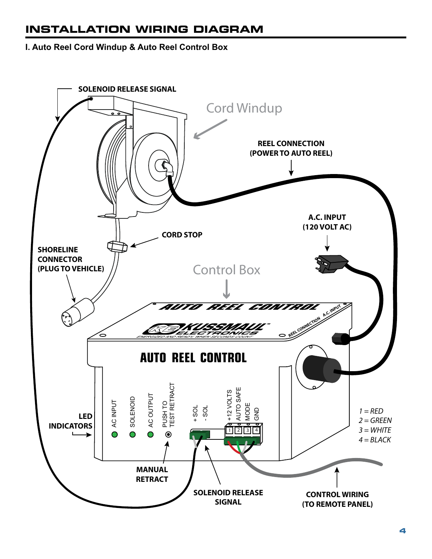# **INSTALLATION WIRING DIAGRAM**

#### **I. Auto Reel Cord Windup & Auto Reel Control Box**

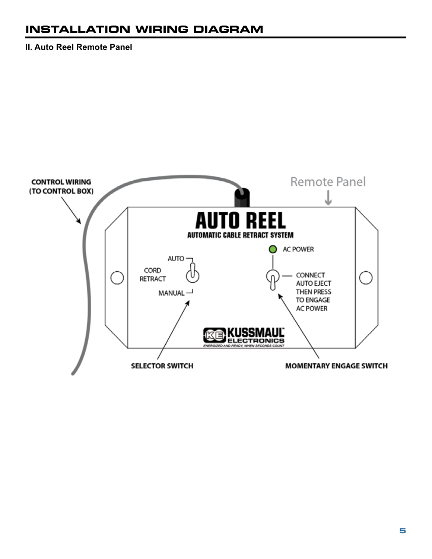## **INSTALLATION WIRING DIAGRAM**

**II. Auto Reel Remote Panel**

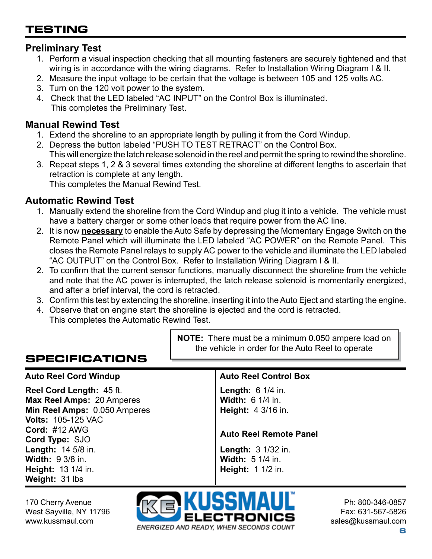# **TESTING**

#### **Preliminary Test**

- 1. Perform a visual inspection checking that all mounting fasteners are securely tightened and that wiring is in accordance with the wiring diagrams. Refer to Installation Wiring Diagram I & II.
- 2. Measure the input voltage to be certain that the voltage is between 105 and 125 volts AC.
- 3. Turn on the 120 volt power to the system.
- 4. Check that the LED labeled "AC INPUT" on the Control Box is illuminated. This completes the Preliminary Test.

#### **Manual Rewind Test**

- 1. Extend the shoreline to an appropriate length by pulling it from the Cord Windup.
- 2. Depress the button labeled "PUSH TO TEST RETRACT" on the Control Box. This will energize the latch release solenoid in the reel and permit the spring to rewind the shoreline.
- 3. Repeat steps 1, 2 & 3 several times extending the shoreline at different lengths to ascertain that retraction is complete at any length. This completes the Manual Rewind Test.

#### **Automatic Rewind Test**

- 1. Manually extend the shoreline from the Cord Windup and plug it into a vehicle. The vehicle must have a battery charger or some other loads that require power from the AC line.
- 2. It is now **necessary** to enable the Auto Safe by depressing the Momentary Engage Switch on the Remote Panel which will illuminate the LED labeled "AC POWER" on the Remote Panel. This closes the Remote Panel relays to supply AC power to the vehicle and illuminate the LED labeled "AC OUTPUT" on the Control Box. Refer to Installation Wiring Diagram I & II.
- 2. To confirm that the current sensor functions, manually disconnect the shoreline from the vehicle and note that the AC power is interrupted, the latch release solenoid is momentarily energized, and after a brief interval, the cord is retracted.
- 3. Confirm this test by extending the shoreline, inserting it into the Auto Eject and starting the engine.
- 4. Observe that on engine start the shoreline is ejected and the cord is retracted. This completes the Automatic Rewind Test.

# **SPECIFICATIONS**

#### **Auto Reel Cord Windup Auto Reel Control Box**

**Reel Cord Length:** 45 ft. **Max Reel Amps:** 20 Amperes **Min Reel Amps:** 0.050 Amperes **Volts:** 105-125 VAC **Cord:** #12 AWG **Cord Type:** SJO **Length:** 14 5/8 in. **Width:** 9 3/8 in. **Height:** 13 1/4 in. **Weight:** 31 lbs

#### **NOTE:** There must be a minimum 0.050 ampere load on the vehicle in order for the Auto Reel to operate

**Length:** 6 1/4 in. **Width:** 6 1/4 in. **Height:** 4 3/16 in.

#### **Auto Reel Remote Panel**

**Length:** 3 1/32 in. **Width:** 5 1/4 in. **Height:** 1 1/2 in.

170 Cherry Avenue West Sayville, NY 11796 www.kussmaul.com

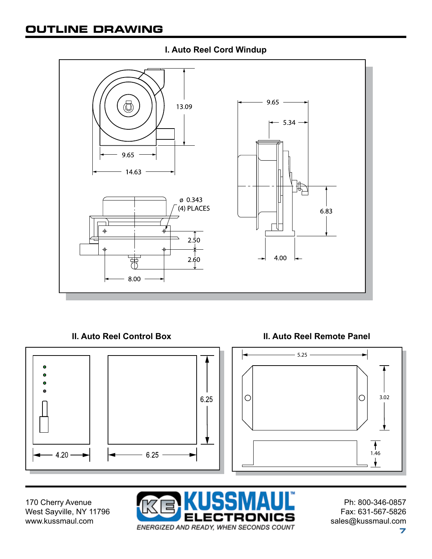# **OUTLINE DRAWING**



#### **I. Auto Reel Cord Windup**

**II. Auto Reel Control Box II. Auto Reel Remote Panel** 



170 Cherry Avenue West Sayville, NY 11796 www.kussmaul.com

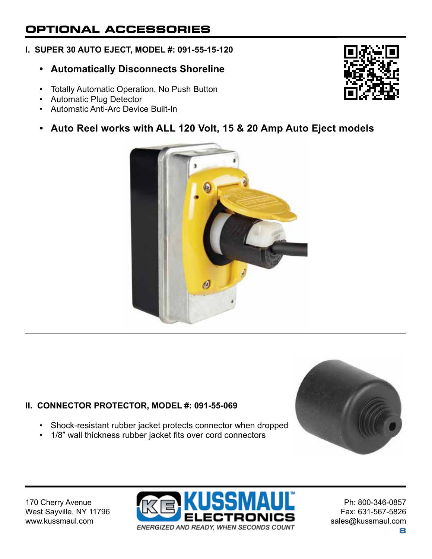# **OPTIONAL ACCESSORIES**

#### **I. SUPER 30 AUTO EJECT, MODEL #: 091-55-15-120**

- **Automatically Disconnects Shoreline**
- Totally Automatic Operation, No Push Button
- Automatic Plug Detector
- Automatic Anti-Arc Device Built-In

#### **• Auto Reel works with ALL 120 Volt, 15 & 20 Amp Auto Eject models**



#### **II. CONNECTOR PROTECTOR, MODEL #: 091-55-069**

- Shock-resistant rubber jacket protects connector when dropped
- 1/8" wall thickness rubber jacket fits over cord connectors



170 Cherry Avenue West Sayville, NY 11796 www.kussmaul.com